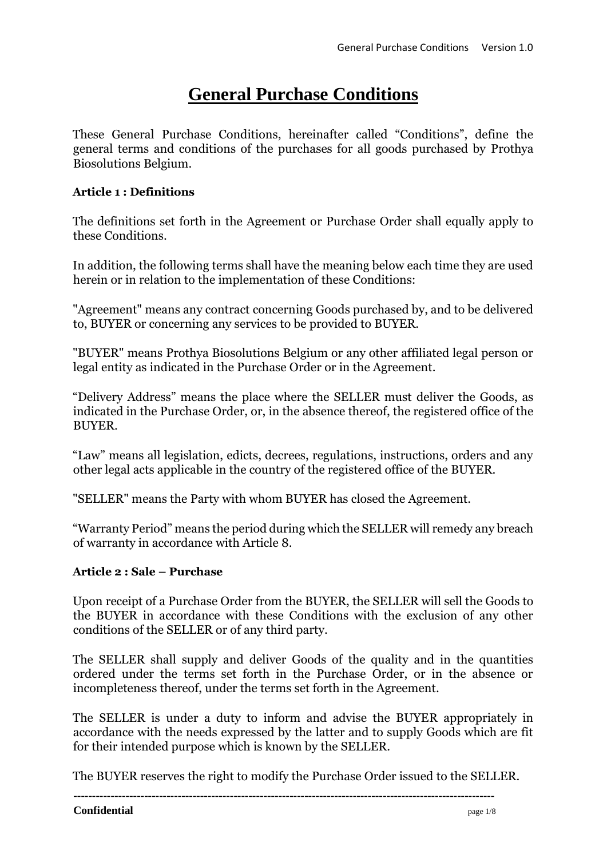# **General Purchase Conditions**

These General Purchase Conditions, hereinafter called "Conditions", define the general terms and conditions of the purchases for all goods purchased by Prothya Biosolutions Belgium.

## **Article 1 : Definitions**

The definitions set forth in the Agreement or Purchase Order shall equally apply to these Conditions.

In addition, the following terms shall have the meaning below each time they are used herein or in relation to the implementation of these Conditions:

"Agreement" means any contract concerning Goods purchased by, and to be delivered to, BUYER or concerning any services to be provided to BUYER.

"BUYER" means Prothya Biosolutions Belgium or any other affiliated legal person or legal entity as indicated in the Purchase Order or in the Agreement.

"Delivery Address" means the place where the SELLER must deliver the Goods, as indicated in the Purchase Order, or, in the absence thereof, the registered office of the BUYER.

"Law" means all legislation, edicts, decrees, regulations, instructions, orders and any other legal acts applicable in the country of the registered office of the BUYER.

"SELLER" means the Party with whom BUYER has closed the Agreement.

"Warranty Period" means the period during which the SELLER will remedy any breach of warranty in accordance with Article 8.

# **Article 2 : Sale – Purchase**

Upon receipt of a Purchase Order from the BUYER, the SELLER will sell the Goods to the BUYER in accordance with these Conditions with the exclusion of any other conditions of the SELLER or of any third party.

The SELLER shall supply and deliver Goods of the quality and in the quantities ordered under the terms set forth in the Purchase Order, or in the absence or incompleteness thereof, under the terms set forth in the Agreement.

The SELLER is under a duty to inform and advise the BUYER appropriately in accordance with the needs expressed by the latter and to supply Goods which are fit for their intended purpose which is known by the SELLER.

The BUYER reserves the right to modify the Purchase Order issued to the SELLER.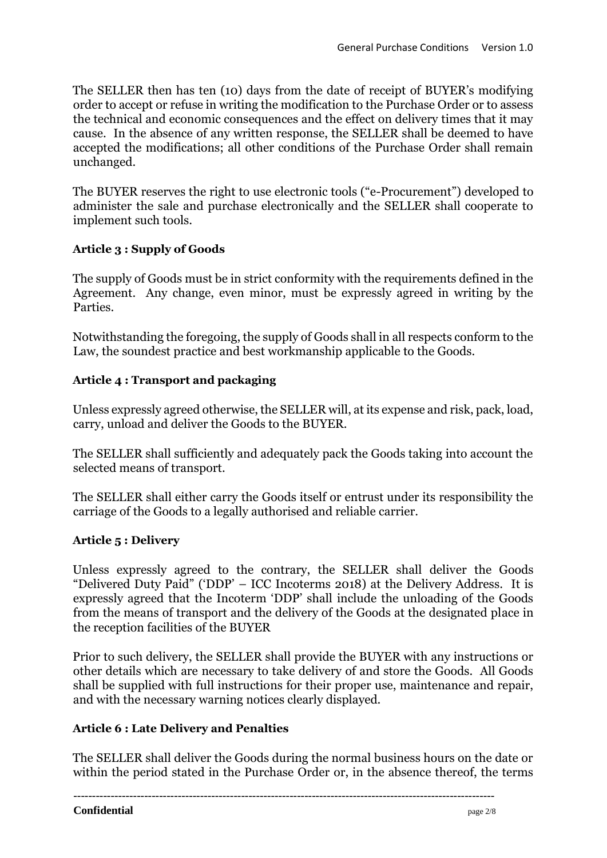The SELLER then has ten (10) days from the date of receipt of BUYER's modifying order to accept or refuse in writing the modification to the Purchase Order or to assess the technical and economic consequences and the effect on delivery times that it may cause. In the absence of any written response, the SELLER shall be deemed to have accepted the modifications; all other conditions of the Purchase Order shall remain unchanged.

The BUYER reserves the right to use electronic tools ("e-Procurement") developed to administer the sale and purchase electronically and the SELLER shall cooperate to implement such tools.

# **Article 3 : Supply of Goods**

The supply of Goods must be in strict conformity with the requirements defined in the Agreement. Any change, even minor, must be expressly agreed in writing by the Parties.

Notwithstanding the foregoing, the supply of Goods shall in all respects conform to the Law, the soundest practice and best workmanship applicable to the Goods.

## **Article 4 : Transport and packaging**

Unless expressly agreed otherwise, the SELLER will, at its expense and risk, pack, load, carry, unload and deliver the Goods to the BUYER.

The SELLER shall sufficiently and adequately pack the Goods taking into account the selected means of transport.

The SELLER shall either carry the Goods itself or entrust under its responsibility the carriage of the Goods to a legally authorised and reliable carrier.

# **Article 5 : Delivery**

Unless expressly agreed to the contrary, the SELLER shall deliver the Goods "Delivered Duty Paid" ('DDP' – ICC Incoterms 2018) at the Delivery Address. It is expressly agreed that the Incoterm 'DDP' shall include the unloading of the Goods from the means of transport and the delivery of the Goods at the designated place in the reception facilities of the BUYER

Prior to such delivery, the SELLER shall provide the BUYER with any instructions or other details which are necessary to take delivery of and store the Goods. All Goods shall be supplied with full instructions for their proper use, maintenance and repair, and with the necessary warning notices clearly displayed.

# **Article 6 : Late Delivery and Penalties**

The SELLER shall deliver the Goods during the normal business hours on the date or within the period stated in the Purchase Order or, in the absence thereof, the terms

**-----------------------------------------------------------------------------------------------------------------**

#### **Confidential** page 2/8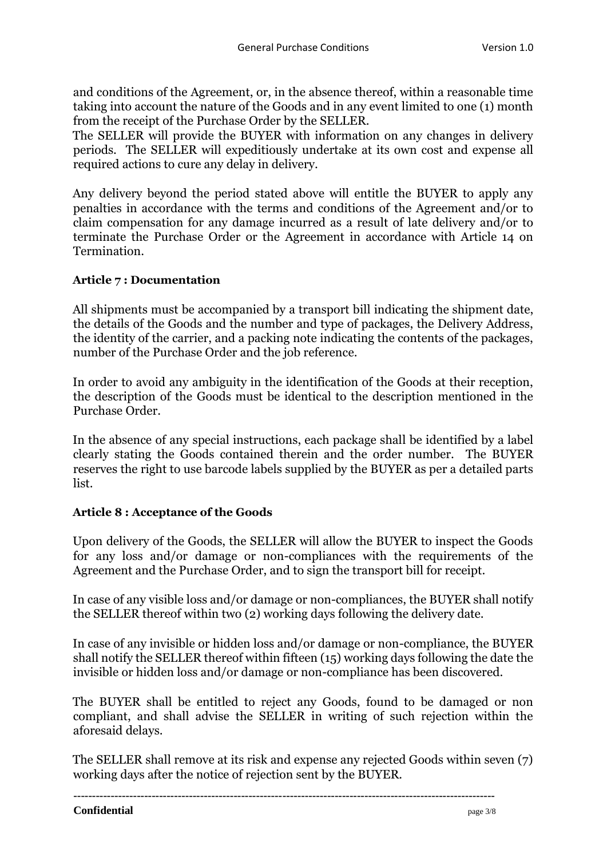and conditions of the Agreement, or, in the absence thereof, within a reasonable time taking into account the nature of the Goods and in any event limited to one (1) month from the receipt of the Purchase Order by the SELLER.

The SELLER will provide the BUYER with information on any changes in delivery periods. The SELLER will expeditiously undertake at its own cost and expense all required actions to cure any delay in delivery.

Any delivery beyond the period stated above will entitle the BUYER to apply any penalties in accordance with the terms and conditions of the Agreement and/or to claim compensation for any damage incurred as a result of late delivery and/or to terminate the Purchase Order or the Agreement in accordance with Article 14 on Termination.

#### **Article 7 : Documentation**

All shipments must be accompanied by a transport bill indicating the shipment date, the details of the Goods and the number and type of packages, the Delivery Address, the identity of the carrier, and a packing note indicating the contents of the packages, number of the Purchase Order and the job reference.

In order to avoid any ambiguity in the identification of the Goods at their reception, the description of the Goods must be identical to the description mentioned in the Purchase Order.

In the absence of any special instructions, each package shall be identified by a label clearly stating the Goods contained therein and the order number. The BUYER reserves the right to use barcode labels supplied by the BUYER as per a detailed parts list.

## **Article 8 : Acceptance of the Goods**

Upon delivery of the Goods, the SELLER will allow the BUYER to inspect the Goods for any loss and/or damage or non-compliances with the requirements of the Agreement and the Purchase Order, and to sign the transport bill for receipt.

In case of any visible loss and/or damage or non-compliances, the BUYER shall notify the SELLER thereof within two (2) working days following the delivery date.

In case of any invisible or hidden loss and/or damage or non-compliance, the BUYER shall notify the SELLER thereof within fifteen (15) working days following the date the invisible or hidden loss and/or damage or non-compliance has been discovered.

The BUYER shall be entitled to reject any Goods, found to be damaged or non compliant, and shall advise the SELLER in writing of such rejection within the aforesaid delays.

The SELLER shall remove at its risk and expense any rejected Goods within seven (7) working days after the notice of rejection sent by the BUYER.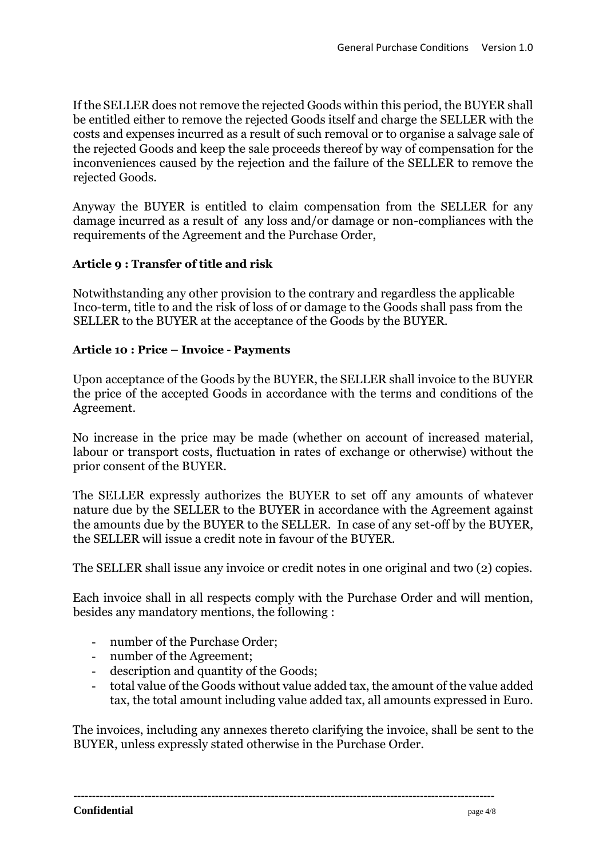If the SELLER does not remove the rejected Goods within this period, the BUYER shall be entitled either to remove the rejected Goods itself and charge the SELLER with the costs and expenses incurred as a result of such removal or to organise a salvage sale of the rejected Goods and keep the sale proceeds thereof by way of compensation for the inconveniences caused by the rejection and the failure of the SELLER to remove the rejected Goods.

Anyway the BUYER is entitled to claim compensation from the SELLER for any damage incurred as a result of any loss and/or damage or non-compliances with the requirements of the Agreement and the Purchase Order,

#### **Article 9 : Transfer of title and risk**

Notwithstanding any other provision to the contrary and regardless the applicable Inco-term, title to and the risk of loss of or damage to the Goods shall pass from the SELLER to the BUYER at the acceptance of the Goods by the BUYER.

#### **Article 10 : Price – Invoice - Payments**

Upon acceptance of the Goods by the BUYER, the SELLER shall invoice to the BUYER the price of the accepted Goods in accordance with the terms and conditions of the Agreement.

No increase in the price may be made (whether on account of increased material, labour or transport costs, fluctuation in rates of exchange or otherwise) without the prior consent of the BUYER.

The SELLER expressly authorizes the BUYER to set off any amounts of whatever nature due by the SELLER to the BUYER in accordance with the Agreement against the amounts due by the BUYER to the SELLER. In case of any set-off by the BUYER, the SELLER will issue a credit note in favour of the BUYER.

The SELLER shall issue any invoice or credit notes in one original and two (2) copies.

Each invoice shall in all respects comply with the Purchase Order and will mention, besides any mandatory mentions, the following :

- number of the Purchase Order;
- number of the Agreement;
- description and quantity of the Goods;
- total value of the Goods without value added tax, the amount of the value added tax, the total amount including value added tax, all amounts expressed in Euro.

The invoices, including any annexes thereto clarifying the invoice, shall be sent to the BUYER, unless expressly stated otherwise in the Purchase Order.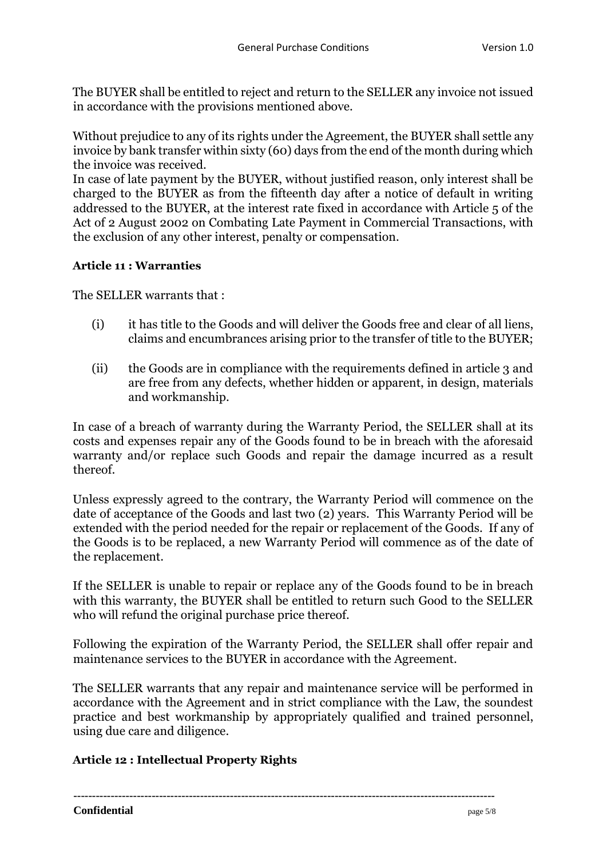The BUYER shall be entitled to reject and return to the SELLER any invoice not issued in accordance with the provisions mentioned above.

Without prejudice to any of its rights under the Agreement, the BUYER shall settle any invoice by bank transfer within sixty (60) days from the end of the month during which the invoice was received.

In case of late payment by the BUYER, without justified reason, only interest shall be charged to the BUYER as from the fifteenth day after a notice of default in writing addressed to the BUYER, at the interest rate fixed in accordance with Article 5 of the Act of 2 August 2002 on Combating Late Payment in Commercial Transactions, with the exclusion of any other interest, penalty or compensation.

## **Article 11 : Warranties**

The SELLER warrants that :

- (i) it has title to the Goods and will deliver the Goods free and clear of all liens, claims and encumbrances arising prior to the transfer of title to the BUYER;
- (ii) the Goods are in compliance with the requirements defined in article 3 and are free from any defects, whether hidden or apparent, in design, materials and workmanship.

In case of a breach of warranty during the Warranty Period, the SELLER shall at its costs and expenses repair any of the Goods found to be in breach with the aforesaid warranty and/or replace such Goods and repair the damage incurred as a result thereof.

Unless expressly agreed to the contrary, the Warranty Period will commence on the date of acceptance of the Goods and last two (2) years. This Warranty Period will be extended with the period needed for the repair or replacement of the Goods. If any of the Goods is to be replaced, a new Warranty Period will commence as of the date of the replacement.

If the SELLER is unable to repair or replace any of the Goods found to be in breach with this warranty, the BUYER shall be entitled to return such Good to the SELLER who will refund the original purchase price thereof.

Following the expiration of the Warranty Period, the SELLER shall offer repair and maintenance services to the BUYER in accordance with the Agreement.

The SELLER warrants that any repair and maintenance service will be performed in accordance with the Agreement and in strict compliance with the Law, the soundest practice and best workmanship by appropriately qualified and trained personnel, using due care and diligence.

## **Article 12 : Intellectual Property Rights**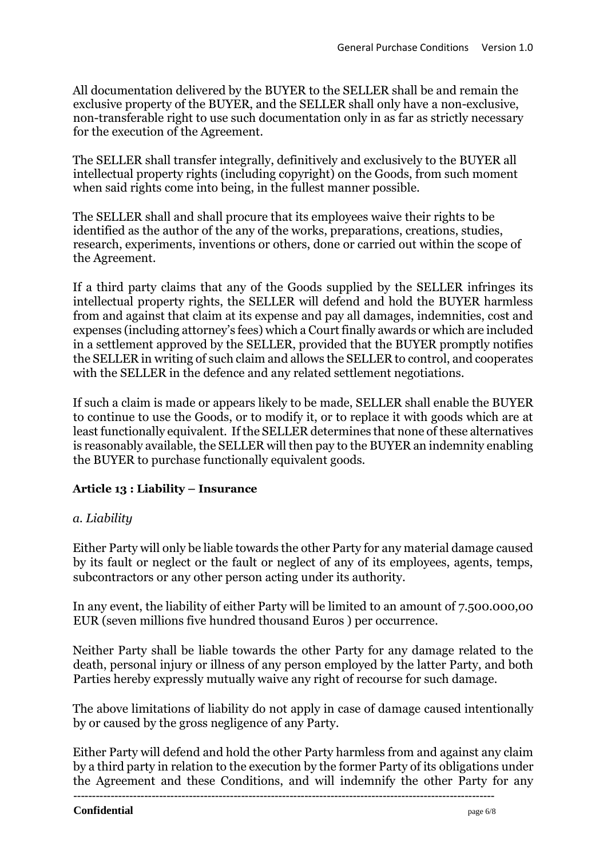All documentation delivered by the BUYER to the SELLER shall be and remain the exclusive property of the BUYER, and the SELLER shall only have a non-exclusive, non-transferable right to use such documentation only in as far as strictly necessary for the execution of the Agreement.

The SELLER shall transfer integrally, definitively and exclusively to the BUYER all intellectual property rights (including copyright) on the Goods, from such moment when said rights come into being, in the fullest manner possible.

The SELLER shall and shall procure that its employees waive their rights to be identified as the author of the any of the works, preparations, creations, studies, research, experiments, inventions or others, done or carried out within the scope of the Agreement.

If a third party claims that any of the Goods supplied by the SELLER infringes its intellectual property rights, the SELLER will defend and hold the BUYER harmless from and against that claim at its expense and pay all damages, indemnities, cost and expenses (including attorney's fees) which a Court finally awards or which are included in a settlement approved by the SELLER, provided that the BUYER promptly notifies the SELLER in writing of such claim and allows the SELLER to control, and cooperates with the SELLER in the defence and any related settlement negotiations.

If such a claim is made or appears likely to be made, SELLER shall enable the BUYER to continue to use the Goods, or to modify it, or to replace it with goods which are at least functionally equivalent. If the SELLER determines that none of these alternatives is reasonably available, the SELLER will then pay to the BUYER an indemnity enabling the BUYER to purchase functionally equivalent goods.

## **Article 13 : Liability – Insurance**

## *a. Liability*

Either Party will only be liable towards the other Party for any material damage caused by its fault or neglect or the fault or neglect of any of its employees, agents, temps, subcontractors or any other person acting under its authority.

In any event, the liability of either Party will be limited to an amount of 7.500.000,00 EUR (seven millions five hundred thousand Euros ) per occurrence.

Neither Party shall be liable towards the other Party for any damage related to the death, personal injury or illness of any person employed by the latter Party, and both Parties hereby expressly mutually waive any right of recourse for such damage.

The above limitations of liability do not apply in case of damage caused intentionally by or caused by the gross negligence of any Party.

Either Party will defend and hold the other Party harmless from and against any claim by a third party in relation to the execution by the former Party of its obligations under the Agreement and these Conditions, and will indemnify the other Party for any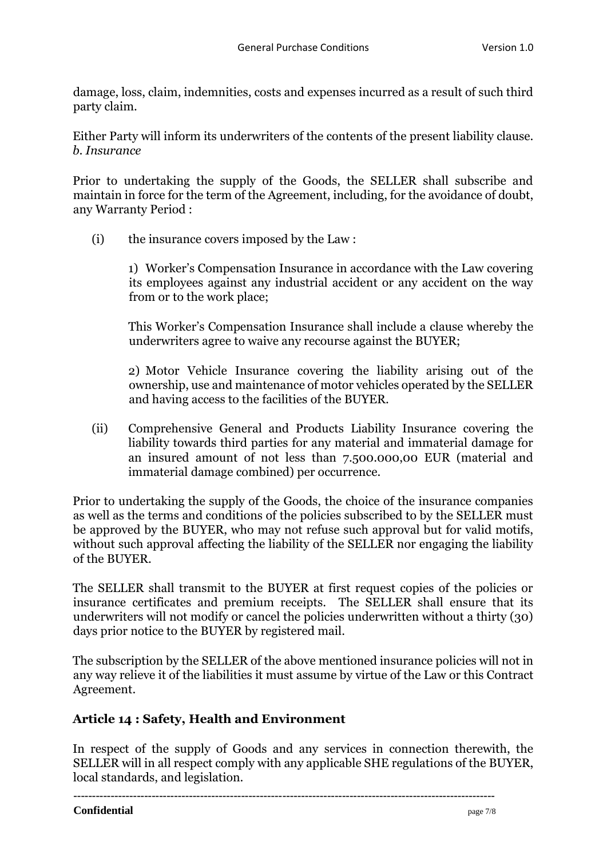damage, loss, claim, indemnities, costs and expenses incurred as a result of such third party claim.

Either Party will inform its underwriters of the contents of the present liability clause. *b. Insurance*

Prior to undertaking the supply of the Goods, the SELLER shall subscribe and maintain in force for the term of the Agreement, including, for the avoidance of doubt, any Warranty Period :

(i) the insurance covers imposed by the Law :

1) Worker's Compensation Insurance in accordance with the Law covering its employees against any industrial accident or any accident on the way from or to the work place;

This Worker's Compensation Insurance shall include a clause whereby the underwriters agree to waive any recourse against the BUYER;

2) Motor Vehicle Insurance covering the liability arising out of the ownership, use and maintenance of motor vehicles operated by the SELLER and having access to the facilities of the BUYER.

(ii) Comprehensive General and Products Liability Insurance covering the liability towards third parties for any material and immaterial damage for an insured amount of not less than 7.500.000,00 EUR (material and immaterial damage combined) per occurrence.

Prior to undertaking the supply of the Goods, the choice of the insurance companies as well as the terms and conditions of the policies subscribed to by the SELLER must be approved by the BUYER, who may not refuse such approval but for valid motifs, without such approval affecting the liability of the SELLER nor engaging the liability of the BUYER.

The SELLER shall transmit to the BUYER at first request copies of the policies or insurance certificates and premium receipts. The SELLER shall ensure that its underwriters will not modify or cancel the policies underwritten without a thirty (30) days prior notice to the BUYER by registered mail.

The subscription by the SELLER of the above mentioned insurance policies will not in any way relieve it of the liabilities it must assume by virtue of the Law or this Contract Agreement.

# **Article 14 : Safety, Health and Environment**

In respect of the supply of Goods and any services in connection therewith, the SELLER will in all respect comply with any applicable SHE regulations of the BUYER, local standards, and legislation.

**-----------------------------------------------------------------------------------------------------------------**

#### **Confidential** page 7/8